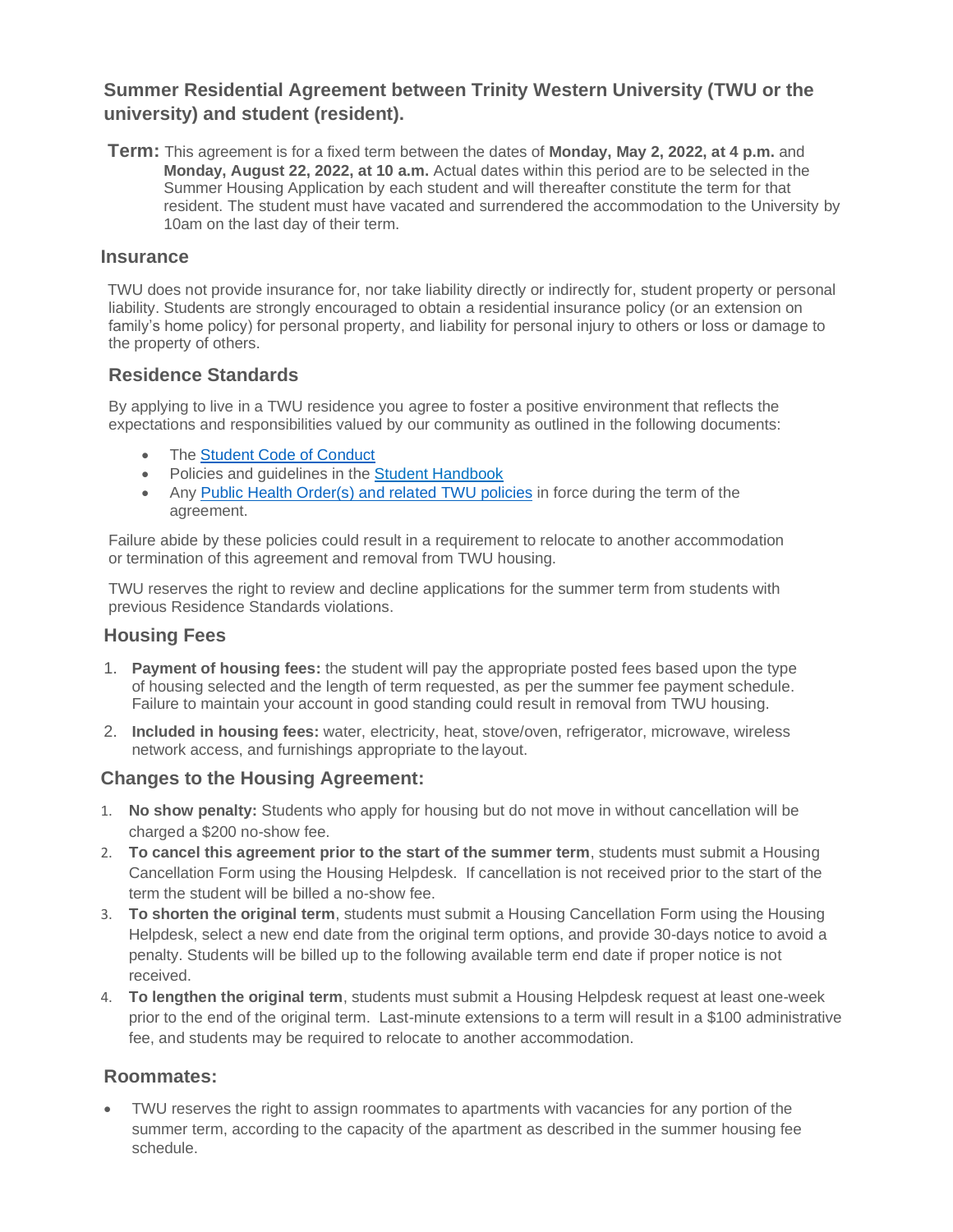## **Summer Residential Agreement between Trinity Western University (TWU or the university) and student (resident).**

**Term:** This agreement is for a fixed term between the dates of **Monday, May 2, 2022, at 4 p.m.** and **Monday, August 22, 2022, at 10 a.m.** Actual dates within this period are to be selected in the Summer Housing Application by each student and will thereafter constitute the term for that resident. The student must have vacated and surrendered the accommodation to the University by 10am on the last day of their term.

#### **Insurance**

TWU does not provide insurance for, nor take liability directly or indirectly for, student property or personal liability. Students are strongly encouraged to obtain a residential insurance policy (or an extension on family's home policy) for personal property, and liability for personal injury to others or loss or damage to the property of others.

### **Residence Standards**

By applying to live in a TWU residence you agree to foster a positive environment that reflects the expectations and responsibilities valued by our community as outlined in the following documents:

- The [Student Code of Conduct](https://www.twu.ca/student-handbook/university-policies/student-code-conduct)
- Policies and guidelines in the [Student Handbook](https://www.twu.ca/student-handbook)
- Any Public Health Order(s) [and related TWU policies](https://www.twu.ca/covid-19) in force during the term of the agreement.

Failure abide by these policies could result in a requirement to relocate to another accommodation or termination of this agreement and removal from TWU housing.

TWU reserves the right to review and decline applications for the summer term from students with previous Residence Standards violations.

## **Housing Fees**

- 1. **Payment of housing fees:** the student will pay the appropriate posted fees based upon the type of housing selected and the length of term requested, as per the summer fee payment schedule. Failure to maintain your account in good standing could result in removal from TWU housing.
- 2. **Included in housing fees:** water, electricity, heat, stove/oven, refrigerator, microwave, wireless network access, and furnishings appropriate to thelayout.

#### **Changes to the Housing Agreement:**

- 1. **No show penalty:** Students who apply for housing but do not move in without cancellation will be charged a \$200 no-show fee.
- 2. **To cancel this agreement prior to the start of the summer term**, students must submit a Housing Cancellation Form using the Housing Helpdesk. If cancellation is not received prior to the start of the term the student will be billed a no-show fee.
- 3. **To shorten the original term**, students must submit a Housing Cancellation Form using the Housing Helpdesk, select a new end date from the original term options, and provide 30-days notice to avoid a penalty. Students will be billed up to the following available term end date if proper notice is not received.
- 4. **To lengthen the original term**, students must submit a Housing Helpdesk request at least one-week prior to the end of the original term. Last-minute extensions to a term will result in a \$100 administrative fee, and students may be required to relocate to another accommodation.

## **Roommates:**

• TWU reserves the right to assign roommates to apartments with vacancies for any portion of the summer term, according to the capacity of the apartment as described in the summer housing fee schedule.